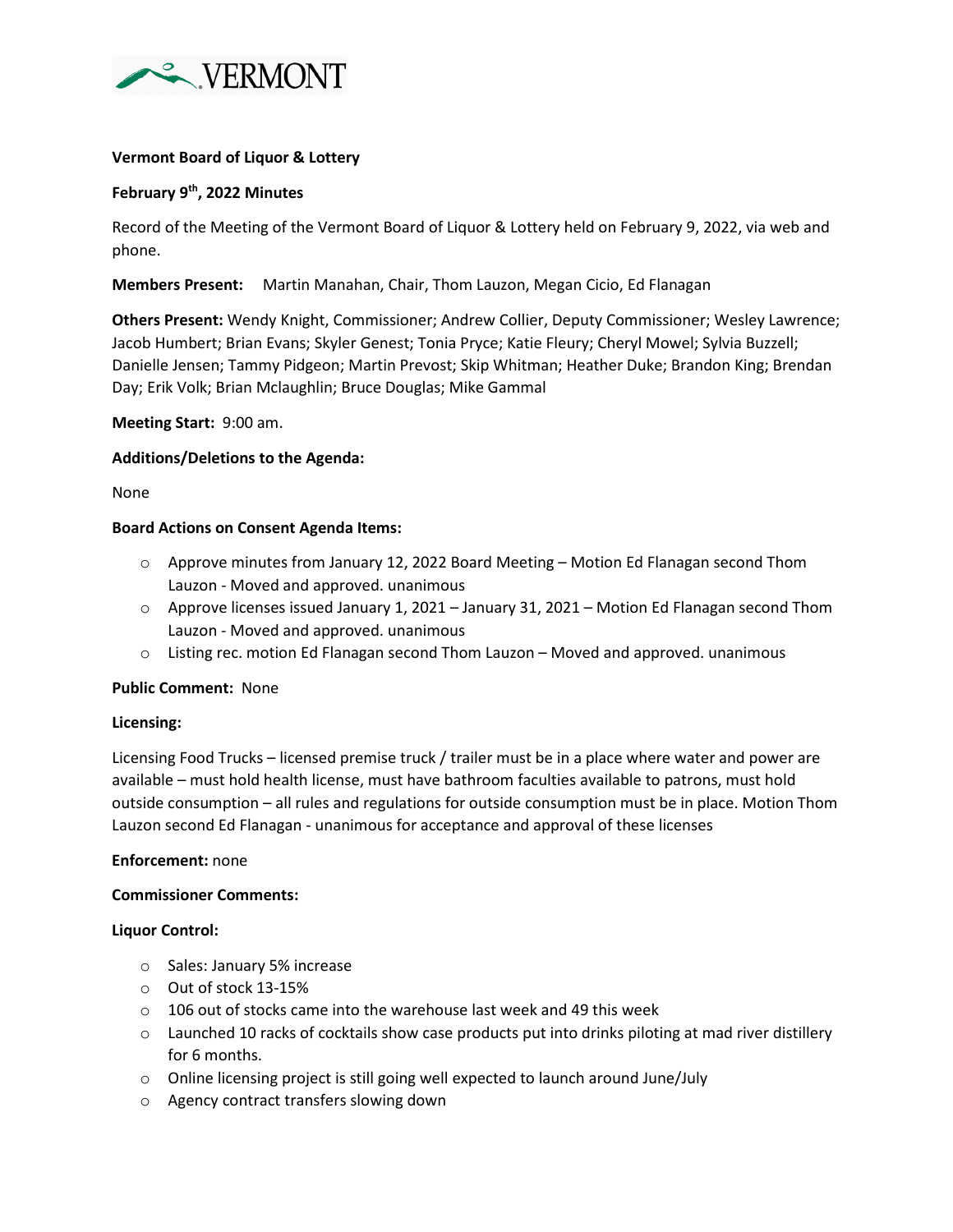

# **Vermont Board of Liquor & Lottery**

## **February 9th, 2022 Minutes**

Record of the Meeting of the Vermont Board of Liquor & Lottery held on February 9, 2022, via web and phone.

**Members Present:** Martin Manahan, Chair, Thom Lauzon, Megan Cicio, Ed Flanagan

**Others Present:** Wendy Knight, Commissioner; Andrew Collier, Deputy Commissioner; Wesley Lawrence; Jacob Humbert; Brian Evans; Skyler Genest; Tonia Pryce; Katie Fleury; Cheryl Mowel; Sylvia Buzzell; Danielle Jensen; Tammy Pidgeon; Martin Prevost; Skip Whitman; Heather Duke; Brandon King; Brendan Day; Erik Volk; Brian Mclaughlin; Bruce Douglas; Mike Gammal

### **Meeting Start:** 9:00 am.

## **Additions/Deletions to the Agenda:**

None

#### **Board Actions on Consent Agenda Items:**

- o Approve minutes from January 12, 2022 Board Meeting Motion Ed Flanagan second Thom Lauzon - Moved and approved. unanimous
- o Approve licenses issued January 1, 2021 January 31, 2021 Motion Ed Flanagan second Thom Lauzon - Moved and approved. unanimous
- $\circ$  Listing rec. motion Ed Flanagan second Thom Lauzon Moved and approved. unanimous

#### **Public Comment:** None

#### **Licensing:**

Licensing Food Trucks – licensed premise truck / trailer must be in a place where water and power are available – must hold health license, must have bathroom faculties available to patrons, must hold outside consumption – all rules and regulations for outside consumption must be in place. Motion Thom Lauzon second Ed Flanagan - unanimous for acceptance and approval of these licenses

#### **Enforcement:** none

#### **Commissioner Comments:**

#### **Liquor Control:**

- o Sales: January 5% increase
- o Out of stock 13-15%
- o 106 out of stocks came into the warehouse last week and 49 this week
- $\circ$  Launched 10 racks of cocktails show case products put into drinks piloting at mad river distillery for 6 months.
- o Online licensing project is still going well expected to launch around June/July
- o Agency contract transfers slowing down